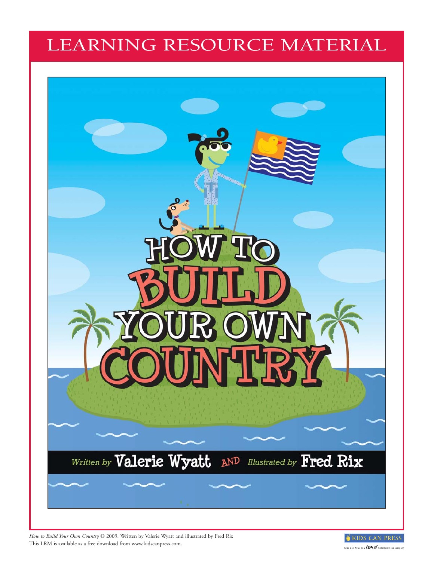## LEARNING RESOURCE MATERIAL



*How to Build Your Own Country* © 2009. Written by Valerie Wyatt and illustrated by Fred Rix This LRM is available as a free download from www.kidscanpress.com.

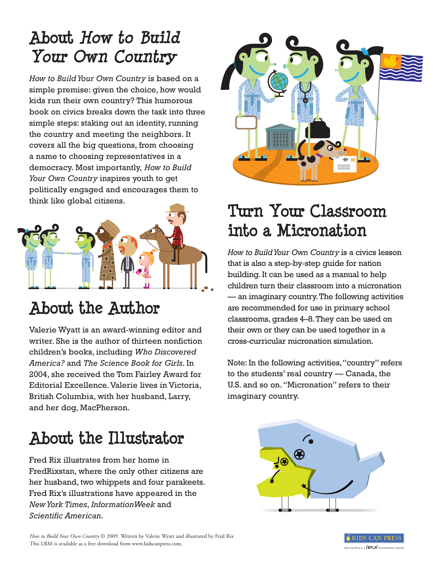# **About How to Build How to Build Your Own Country Your Own Country**

*How to Build Your Own Country* is based on a simple premise: given the choice, how would kids run their own country? This humorous book on civics breaks down the task into three simple steps: staking out an identity, running the country and meeting the neighbors. It covers all the big questions, from choosing a name to choosing representatives in a democracy. Most importantly, *How to Build Your Own Country* inspires youth to get politically engaged and encourages them to think like global citizens.



# **About the Author**

Valerie Wyatt is an award-winning editor and writer. She is the author of thirteen nonfiction children's books, including *Who Discovered America?* and *The Science Book for Girls*. In 2004, she received the Tom Fairley Award for Editorial Excellence. Valerie lives in Victoria, British Columbia, with her husband, Larry, and her dog, MacPherson.

# **About the Illustrator**

Fred Rix illustrates from her home in FredRixstan, where the only other citizens are her husband, two whippets and four parakeets. Fred Rix's illustrations have appeared in the *New York Times*, *InformationWeek* and *Scientific American*.



## **Turn Your Classroom into a Micronation**

*How to Build Your Own Country* is a civics lesson that is also a step-by-step guide for nation building. It can be used as a manual to help children turn their classroom into a micronation — an imaginary country. The following activities are recommended for use in primary school classrooms, grades 4–8. They can be used on their own or they can be used together in a cross-curricular micronation simulation.

Note: In the following activities, "country" refers to the students' real country — Canada, the U.S. and so on. "Micronation" refers to their imaginary country.



*How to Build Your Own Country* © 2009. Written by Valerie Wyatt and illustrated by Fred Rix This LRM is available as a free download from www.kidscanpress.com.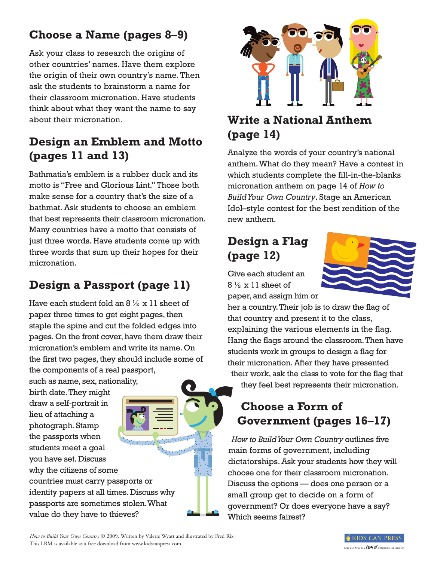## **Choose a Name (pages 8–9)**

Ask your class to research the origins of other countries' names. Have them explore the origin of their own country's name. Then ask the students to brainstorm a name for their classroom micronation. Have students think about what they want the name to say about their micronation.

## **Design an Emblem and Motto (pages 11 and 13)**

Bathmatia's emblem is a rubber duck and its motto is "Free and Glorious Lint." Those both make sense for a country that's the size of a bathmat. Ask students to choose an emblem that best represents their classroom micronation. Many countries have a motto that consists of just three words. Have students come up with three words that sum up their hopes for their micronation.

## **Design a Passport (page 11)**

Have each student fold an  $8\frac{1}{2} \times 11$  sheet of paper three times to get eight pages, then staple the spine and cut the folded edges into pages. On the front cover, have them draw their micronation's emblem and write its name. On the first two pages, they should include some of the components of a real passport,

such as name, sex, nationality,

birth date. They might draw a self-portrait in lieu of attaching a photograph. Stamp the passports when students meet a goal you have set. Discuss why the citizens of some countries must carry passports or identity papers at all times. Discuss why passports are sometimes stolen. What value do they have to thieves?



## **Write a National Anthem (page 14)**

Analyze the words of your country's national anthem. What do they mean? Have a contest in which students complete the fill-in-the-blanks micronation anthem on page 14 of *How to Build Your Own Country*. Stage an American Idol–style contest for the best rendition of the new anthem.

## **Design a Flag (page 12)**



Give each student an  $8\frac{1}{2}$  x 11 sheet of paper, and assign him or

her a country. Their job is to draw the flag of that country and present it to the class, explaining the various elements in the flag. Hang the flags around the classroom. Then have students work in groups to design a flag for their micronation. After they have presented their work, ask the class to vote for the flag that they feel best represents their micronation.

#### **Choose a Form of Government (pages 16–17)**

*How to Build Your Own Country* outlines five main forms of government, including dictatorships. Ask your students how they will choose one for their classroom micronation. Discuss the options — does one person or a small group get to decide on a form of government? Or does everyone have a say? Which seems fairest?